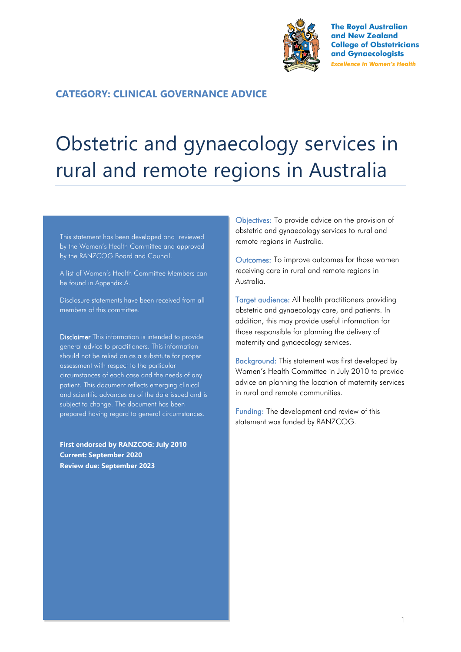

**The Royal Australian** and New Zealand **College of Obstetricians** and Gynaecologists **Excellence in Women's Health** 

## **CATEGORY: CLINICAL GOVERNANCE ADVICE**

# Obstetric and gynaecology services in rural and remote regions in Australia

This statement has been developed and reviewed by the Women's Health Committee and approved by the RANZCOG Board and Council.

A list of Women's Health Committee Members can be found in Appendix A.

Disclosure statements have been received from all members of this committee.

Disclaimer This information is intended to provide general advice to practitioners. This information should not be relied on as a substitute for proper assessment with respect to the particular circumstances of each case and the needs of any patient. This document reflects emerging clinical and scientific advances as of the date issued and is subject to change. The document has been prepared having regard to general circumstances.

**First endorsed by RANZCOG: July 2010 Current: September 2020 Review due: September 2023**

Objectives: To provide advice on the provision of obstetric and gynaecology services to rural and remote regions in Australia.

Outcomes: To improve outcomes for those women receiving care in rural and remote regions in Australia.

Target audience: All health practitioners providing obstetric and gynaecology care, and patients. In addition, this may provide useful information for those responsible for planning the delivery of maternity and gynaecology services.

Background: This statement was first developed by Women's Health Committee in July 2010 to provide advice on planning the location of maternity services in rural and remote communities.

Funding: The development and review of this statement was funded by RANZCOG.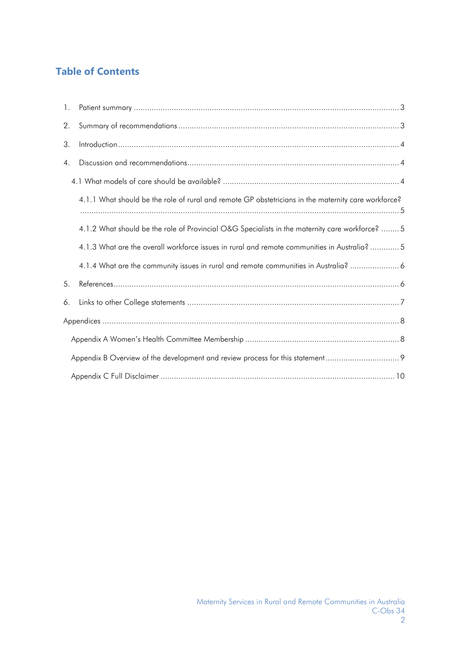# **Table of Contents**

| $\mathbf{1}$ . |                                                                                                     |  |  |  |  |
|----------------|-----------------------------------------------------------------------------------------------------|--|--|--|--|
| 2.             |                                                                                                     |  |  |  |  |
| 3.             |                                                                                                     |  |  |  |  |
| 4.             |                                                                                                     |  |  |  |  |
|                |                                                                                                     |  |  |  |  |
|                | 4.1.1 What should be the role of rural and remote GP obstetricians in the maternity care workforce? |  |  |  |  |
|                | 4.1.2 What should be the role of Provincial O&G Specialists in the maternity care workforce?  5     |  |  |  |  |
|                | 4.1.3 What are the overall workforce issues in rural and remote communities in Australia?  5        |  |  |  |  |
|                | 4.1.4 What are the community issues in rural and remote communities in Australia?                   |  |  |  |  |
| 5.             |                                                                                                     |  |  |  |  |
| 6.             |                                                                                                     |  |  |  |  |
|                |                                                                                                     |  |  |  |  |
|                |                                                                                                     |  |  |  |  |
|                |                                                                                                     |  |  |  |  |
|                |                                                                                                     |  |  |  |  |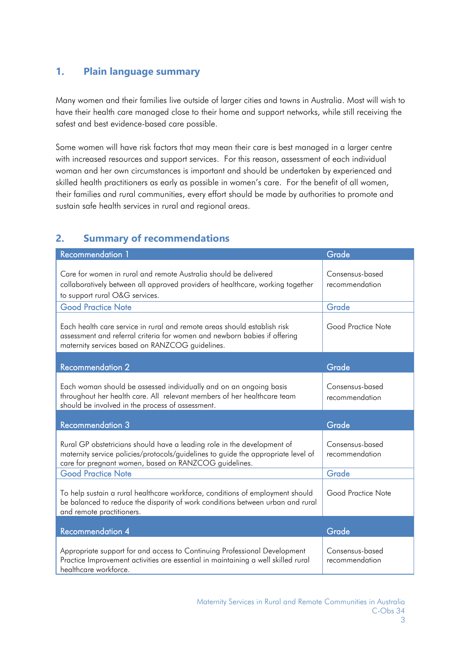# <span id="page-2-0"></span>**1. Plain language summary**

Many women and their families live outside of larger cities and towns in Australia. Most will wish to have their health care managed close to their home and support networks, while still receiving the safest and best evidence-based care possible.

Some women will have risk factors that may mean their care is best managed in a larger centre with increased resources and support services. For this reason, assessment of each individual woman and her own circumstances is important and should be undertaken by experienced and skilled health practitioners as early as possible in women's care. For the benefit of all women, their families and rural communities, every effort should be made by authorities to promote and sustain safe health services in rural and regional areas.

# <span id="page-2-1"></span>**2. Summary of recommendations**

| Recommendation 1                                                                                                                                                                                                      | Grade                             |
|-----------------------------------------------------------------------------------------------------------------------------------------------------------------------------------------------------------------------|-----------------------------------|
| Care for women in rural and remote Australia should be delivered<br>collaboratively between all approved providers of healthcare, working together<br>to support rural O&G services.                                  | Consensus-based<br>recommendation |
| <b>Good Practice Note</b>                                                                                                                                                                                             | Grade                             |
| Each health care service in rural and remote areas should establish risk<br>assessment and referral criteria for women and newborn babies if offering<br>maternity services based on RANZCOG guidelines.              | Good Practice Note                |
| <b>Recommendation 2</b>                                                                                                                                                                                               | Grade                             |
| Each woman should be assessed individually and on an ongoing basis<br>throughout her health care. All relevant members of her healthcare team<br>should be involved in the process of assessment.                     | Consensus-based<br>recommendation |
| <b>Recommendation 3</b>                                                                                                                                                                                               | Grade                             |
| Rural GP obstetricians should have a leading role in the development of<br>maternity service policies/protocols/guidelines to guide the appropriate level of<br>care for pregnant women, based on RANZCOG guidelines. | Consensus-based<br>recommendation |
| <b>Good Practice Note</b>                                                                                                                                                                                             | Grade                             |
| To help sustain a rural healthcare workforce, conditions of employment should<br>be balanced to reduce the disparity of work conditions between urban and rural<br>and remote practitioners.                          | Good Practice Note                |
| <b>Recommendation 4</b>                                                                                                                                                                                               | Grade                             |
| Appropriate support for and access to Continuing Professional Development<br>Practice Improvement activities are essential in maintaining a well skilled rural                                                        | Consensus-based<br>recommendation |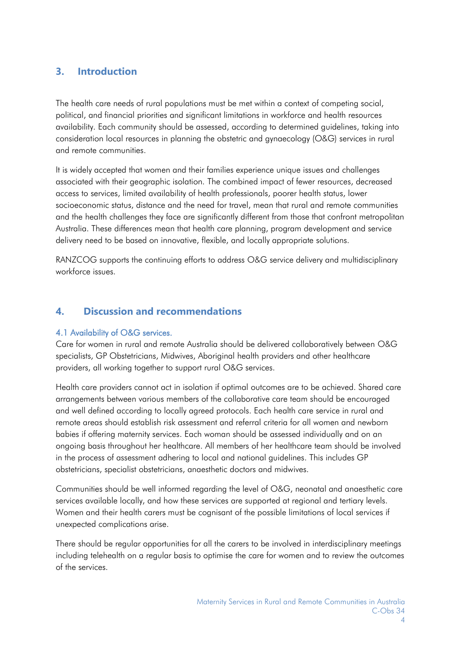# <span id="page-3-0"></span>**3. Introduction**

The health care needs of rural populations must be met within a context of competing social, political, and financial priorities and significant limitations in workforce and health resources availability. Each community should be assessed, according to determined guidelines, taking into consideration local resources in planning the obstetric and gynaecology (O&G) services in rural and remote communities.

It is widely accepted that women and their families experience unique issues and challenges associated with their geographic isolation. The combined impact of fewer resources, decreased access to services, limited availability of health professionals, poorer health status, lower socioeconomic status, distance and the need for travel, mean that rural and remote communities and the health challenges they face are significantly different from those that confront metropolitan Australia. These differences mean that health care planning, program development and service delivery need to be based on innovative, flexible, and locally appropriate solutions.

RANZCOG supports the continuing efforts to address O&G service delivery and multidisciplinary workforce issues.

## <span id="page-3-1"></span>**4. Discussion and recommendations**

#### <span id="page-3-2"></span>4.1 Availability of O&G services.

Care for women in rural and remote Australia should be delivered collaboratively between O&G specialists, GP Obstetricians, Midwives, Aboriginal health providers and other healthcare providers, all working together to support rural O&G services.

Health care providers cannot act in isolation if optimal outcomes are to be achieved. Shared care arrangements between various members of the collaborative care team should be encouraged and well defined according to locally agreed protocols. Each health care service in rural and remote areas should establish risk assessment and referral criteria for all women and newborn babies if offering maternity services. Each woman should be assessed individually and on an ongoing basis throughout her healthcare. All members of her healthcare team should be involved in the process of assessment adhering to local and national guidelines. This includes GP obstetricians, specialist obstetricians, anaesthetic doctors and midwives.

Communities should be well informed regarding the level of O&G, neonatal and anaesthetic care services available locally, and how these services are supported at regional and tertiary levels. Women and their health carers must be cognisant of the possible limitations of local services if unexpected complications arise.

There should be regular opportunities for all the carers to be involved in interdisciplinary meetings including telehealth on a regular basis to optimise the care for women and to review the outcomes of the services.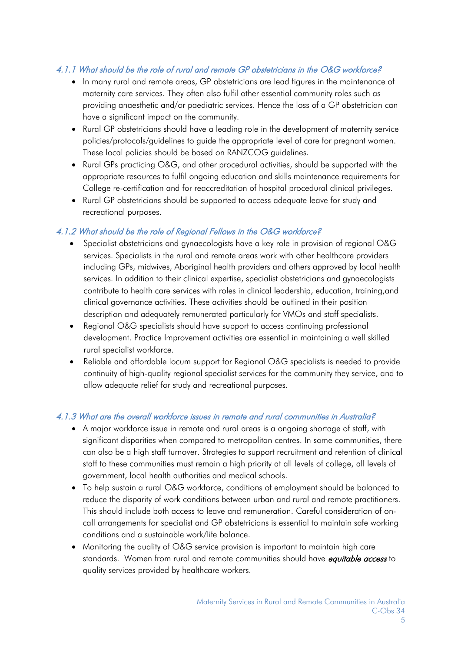## <span id="page-4-0"></span>4.1.1 What should be the role of rural and remote GP obstetricians in the O&G workforce?

- In many rural and remote areas, GP obstetricians are lead figures in the maintenance of maternity care services. They often also fulfil other essential community roles such as providing anaesthetic and/or paediatric services. Hence the loss of a GP obstetrician can have a significant impact on the community.
- Rural GP obstetricians should have a leading role in the development of maternity service policies/protocols/guidelines to guide the appropriate level of care for pregnant women. These local policies should be based on RANZCOG guidelines.
- Rural GPs practicing O&G, and other procedural activities, should be supported with the appropriate resources to fulfil ongoing education and skills maintenance requirements for College re-certification and for reaccreditation of hospital procedural clinical privileges.
- Rural GP obstetricians should be supported to access adequate leave for study and recreational purposes.

### <span id="page-4-1"></span>4.1.2 What should be the role of Regional Fellows in the O&G workforce?

- Specialist obstetricians and avnaecologists have a key role in provision of regional O&G services. Specialists in the rural and remote areas work with other healthcare providers including GPs, midwives, Aboriginal health providers and others approved by local health services. In addition to their clinical expertise, specialist obstetricians and gynaecologists contribute to health care services with roles in clinical leadership, education, training,and clinical governance activities. These activities should be outlined in their position description and adequately remunerated particularly for VMOs and staff specialists.
- Regional O&G specialists should have support to access continuing professional development. Practice Improvement activities are essential in maintaining a well skilled rural specialist workforce.
- Reliable and affordable locum support for Regional O&G specialists is needed to provide continuity of high-quality regional specialist services for the community they service, and to allow adequate relief for study and recreational purposes.

## <span id="page-4-2"></span>4.1.3 What are the overall workforce issues in remote and rural communities in Australia?

- A major workforce issue in remote and rural areas is a ongoing shortage of staff, with significant disparities when compared to metropolitan centres. In some communities, there can also be a high staff turnover. Strategies to support recruitment and retention of clinical staff to these communities must remain a high priority at all levels of college, all levels of government, local health authorities and medical schools.
- To help sustain a rural O&G workforce, conditions of employment should be balanced to reduce the disparity of work conditions between urban and rural and remote practitioners. This should include both access to leave and remuneration. Careful consideration of oncall arrangements for specialist and GP obstetricians is essential to maintain safe working conditions and a sustainable work/life balance.
- Monitoring the quality of O&G service provision is important to maintain high care standards. Women from rural and remote communities should have *equitable access* to quality services provided by healthcare workers.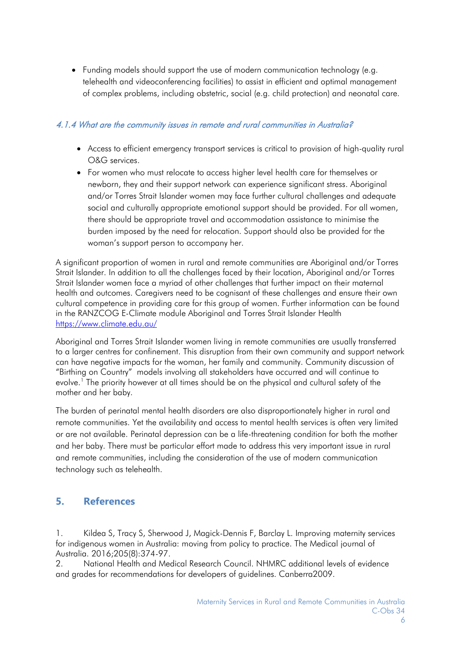• Funding models should support the use of modern communication technology (e.g. telehealth and videoconferencing facilities) to assist in efficient and optimal management of complex problems, including obstetric, social (e.g. child protection) and neonatal care.

#### <span id="page-5-0"></span>4.1.4 What are the community issues in remote and rural communities in Australia?

- Access to efficient emergency transport services is critical to provision of high-quality rural O&G services.
- For women who must relocate to access higher level health care for themselves or newborn, they and their support network can experience significant stress. Aboriginal and/or Torres Strait Islander women may face further cultural challenges and adequate social and culturally appropriate emotional support should be provided. For all women, there should be appropriate travel and accommodation assistance to minimise the burden imposed by the need for relocation. Support should also be provided for the woman's support person to accompany her.

A significant proportion of women in rural and remote communities are Aboriginal and/or Torres Strait Islander. In addition to all the challenges faced by their location, Aboriginal and/or Torres Strait Islander women face a myriad of other challenges that further impact on their maternal health and outcomes. Caregivers need to be cognisant of these challenges and ensure their own cultural competence in providing care for this group of women. Further information can be found in the RANZCOG E-Climate module Aboriginal and Torres Strait Islander Health <https://www.climate.edu.au/>

Aboriginal and Torres Strait Islander women living in remote communities are usually transferred to a larger centres for confinement. This disruption from their own community and support network can have negative impacts for the woman, her family and community. Community discussion of "Birthing on Country" models involving all stakeholders have occurred and will continue to evolve.<sup>1</sup> The priority however at all times should be on the physical and cultural safety of the mother and her baby.

The burden of perinatal mental health disorders are also disproportionately higher in rural and remote communities. Yet the availability and access to mental health services is often very limited or are not available. Perinatal depression can be a life-threatening condition for both the mother and her baby. There must be particular effort made to address this very important issue in rural and remote communities, including the consideration of the use of modern communication technology such as telehealth.

# <span id="page-5-1"></span>**5. References**

1. Kildea S, Tracy S, Sherwood J, Magick-Dennis F, Barclay L. Improving maternity services for indigenous women in Australia: moving from policy to practice. The Medical journal of Australia. 2016;205(8):374-97.

2. National Health and Medical Research Council. NHMRC additional levels of evidence and grades for recommendations for developers of guidelines. Canberra2009.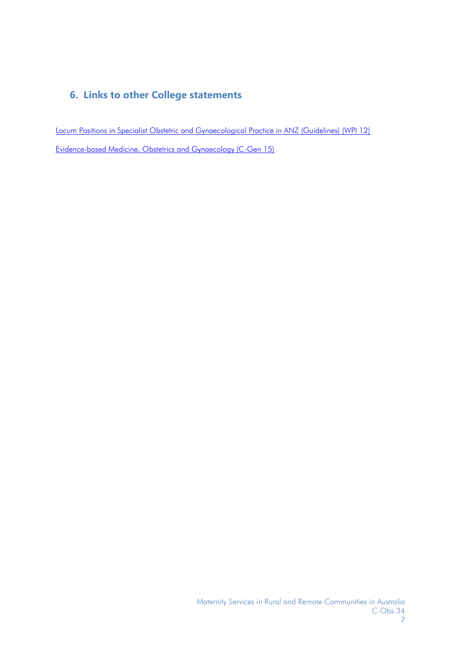# <span id="page-6-0"></span>**6. Links to other College statements**

Locum [Positions in Specialist Obstetric and Gynaecological Practice in ANZ \(Guidelines\) \(WPI 12\)](https://www.ranzcog.edu.au/Statements-Guidelines/Workforce-and-Practice-Issues/Locum-Positions-in-Specialist-Obstetric-and-Gynaec) [Evidence-based Medicine, Obstetrics and Gynaecology \(C-Gen 15\)](https://www.ranzcog.edu.au/Statements-Guidelines/General/Evidence-based-Medicine,-Obstetrics-and-Gynaecolog)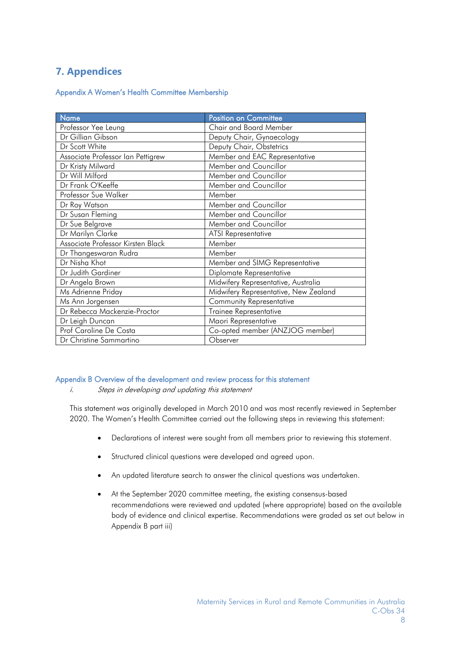# <span id="page-7-0"></span>**7. Appendices**

#### <span id="page-7-1"></span>Appendix A Women's Health Committee Membership

| <b>Name</b>                       | <b>Position on Committee</b>          |
|-----------------------------------|---------------------------------------|
| Professor Yee Leung               | Chair and Board Member                |
| Dr Gillian Gibson                 | Deputy Chair, Gynaecology             |
| Dr Scott White                    | Deputy Chair, Obstetrics              |
| Associate Professor Ian Pettigrew | Member and EAC Representative         |
| Dr Kristy Milward                 | Member and Councillor                 |
| Dr Will Milford                   | Member and Councillor                 |
| Dr Frank O'Keeffe                 | Member and Councillor                 |
| Professor Sue Walker              | Member                                |
| Dr Roy Watson                     | Member and Councillor                 |
| Dr Susan Fleming                  | Member and Councillor                 |
| Dr Sue Belgrave                   | Member and Councillor                 |
| Dr Marilyn Clarke                 | <b>ATSI Representative</b>            |
| Associate Professor Kirsten Black | Member                                |
| Dr Thangeswaran Rudra             | Member                                |
| Dr Nisha Khot                     | Member and SIMG Representative        |
| Dr Judith Gardiner                | Diplomate Representative              |
| Dr Angela Brown                   | Midwifery Representative, Australia   |
| Ms Adrienne Priday                | Midwifery Representative, New Zealand |
| Ms Ann Jorgensen                  | <b>Community Representative</b>       |
| Dr Rebecca Mackenzie-Proctor      | Trainee Representative                |
| Dr Leigh Duncan                   | Maori Representative                  |
| Prof Caroline De Costa            | Co-opted member (ANZJOG member)       |
| Dr Christine Sammartino           | Observer                              |

#### Appendix B Overview of the development and review process for this statement

i. Steps in developing and updating this statement

This statement was originally developed in March 2010 and was most recently reviewed in September 2020. The Women's Health Committee carried out the following steps in reviewing this statement:

- <span id="page-7-2"></span>• Declarations of interest were sought from all members prior to reviewing this statement.
- Structured clinical questions were developed and agreed upon.
- An updated literature search to answer the clinical questions was undertaken.
- At the September 2020 committee meeting, the existing consensus-based recommendations were reviewed and updated (where appropriate) based on the available body of evidence and clinical expertise. Recommendations were graded as set out below in Appendix B part iii)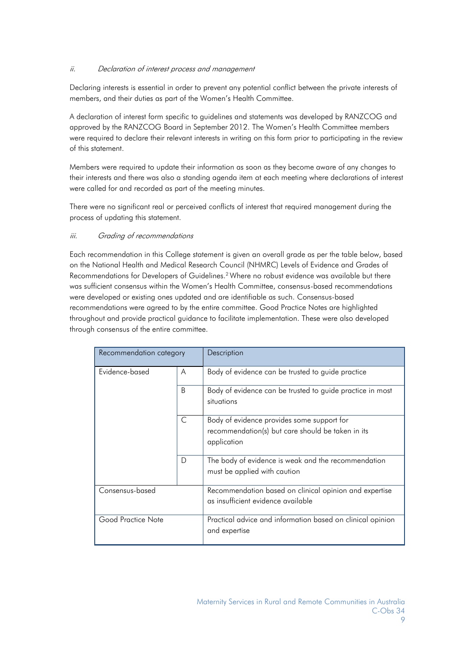#### ii. Declaration of interest process and management

Declaring interests is essential in order to prevent any potential conflict between the private interests of members, and their duties as part of the Women's Health Committee.

A declaration of interest form specific to guidelines and statements was developed by RANZCOG and approved by the RANZCOG Board in September 2012. The Women's Health Committee members were required to declare their relevant interests in writing on this form prior to participating in the review of this statement.

Members were required to update their information as soon as they become aware of any changes to their interests and there was also a standing agenda item at each meeting where declarations of interest were called for and recorded as part of the meeting minutes.

There were no significant real or perceived conflicts of interest that required management during the process of updating this statement.

#### iii. Grading of recommendations

Each recommendation in this College statement is given an overall grade as per the table below, based on the National Health and Medical Research Council (NHMRC) Levels of Evidence and Grades of Recommendations for Developers of Guidelines.<sup>2</sup> Where no robust evidence was available but there was sufficient consensus within the Women's Health Committee, consensus-based recommendations were developed or existing ones updated and are identifiable as such. Consensus-based recommendations were agreed to by the entire committee. Good Practice Notes are highlighted throughout and provide practical guidance to facilitate implementation. These were also developed through consensus of the entire committee.

| Recommendation category |              | Description                                                                                                    |
|-------------------------|--------------|----------------------------------------------------------------------------------------------------------------|
| Evidence-based          | A            | Body of evidence can be trusted to guide practice                                                              |
|                         | <sub>B</sub> | Body of evidence can be trusted to guide practice in most<br>situations                                        |
|                         | $\subset$    | Body of evidence provides some support for<br>recommendation(s) but care should be taken in its<br>application |
|                         | D            | The body of evidence is weak and the recommendation<br>must be applied with caution                            |
| Consensus-based         |              | Recommendation based on clinical opinion and expertise<br>as insufficient evidence available                   |
| Good Practice Note      |              | Practical advice and information based on clinical opinion<br>and expertise                                    |